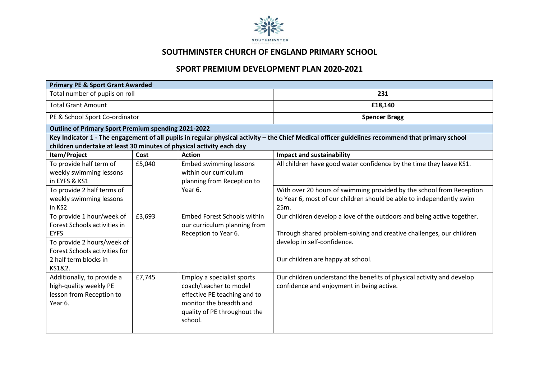

## **SOUTHMINSTER CHURCH OF ENGLAND PRIMARY SCHOOL**

## **SPORT PREMIUM DEVELOPMENT PLAN 2020-2021**

| <b>Primary PE &amp; Sport Grant Awarded</b>                                                                                                                                |        |                                                                                                                                                            |                                                                                                                                                                                                                    |  |  |  |
|----------------------------------------------------------------------------------------------------------------------------------------------------------------------------|--------|------------------------------------------------------------------------------------------------------------------------------------------------------------|--------------------------------------------------------------------------------------------------------------------------------------------------------------------------------------------------------------------|--|--|--|
| Total number of pupils on roll                                                                                                                                             |        |                                                                                                                                                            | 231                                                                                                                                                                                                                |  |  |  |
| <b>Total Grant Amount</b>                                                                                                                                                  |        |                                                                                                                                                            | £18,140                                                                                                                                                                                                            |  |  |  |
| PE & School Sport Co-ordinator                                                                                                                                             |        |                                                                                                                                                            | <b>Spencer Bragg</b>                                                                                                                                                                                               |  |  |  |
| <b>Outline of Primary Sport Premium spending 2021-2022</b>                                                                                                                 |        |                                                                                                                                                            |                                                                                                                                                                                                                    |  |  |  |
|                                                                                                                                                                            |        |                                                                                                                                                            | Key Indicator 1 - The engagement of all pupils in regular physical activity - the Chief Medical officer guidelines recommend that primary school                                                                   |  |  |  |
| children undertake at least 30 minutes of physical activity each day                                                                                                       |        |                                                                                                                                                            |                                                                                                                                                                                                                    |  |  |  |
| Item/Project                                                                                                                                                               | Cost   | <b>Action</b>                                                                                                                                              | <b>Impact and sustainability</b>                                                                                                                                                                                   |  |  |  |
| To provide half term of<br>weekly swimming lessons<br>in EYFS & KS1                                                                                                        | £5,040 | <b>Embed swimming lessons</b><br>within our curriculum<br>planning from Reception to<br>Year 6.                                                            | All children have good water confidence by the time they leave KS1.                                                                                                                                                |  |  |  |
| To provide 2 half terms of<br>weekly swimming lessons<br>in KS2                                                                                                            |        |                                                                                                                                                            | With over 20 hours of swimming provided by the school from Reception<br>to Year 6, most of our children should be able to independently swim<br>25m.                                                               |  |  |  |
| To provide 1 hour/week of<br>Forest Schools activities in<br><b>EYFS</b><br>To provide 2 hours/week of<br>Forest Schools activities for<br>2 half term blocks in<br>KS1&2. | £3,693 | <b>Embed Forest Schools within</b><br>our curriculum planning from<br>Reception to Year 6.                                                                 | Our children develop a love of the outdoors and being active together.<br>Through shared problem-solving and creative challenges, our children<br>develop in self-confidence.<br>Our children are happy at school. |  |  |  |
| Additionally, to provide a<br>high-quality weekly PE<br>lesson from Reception to<br>Year 6.                                                                                | £7,745 | Employ a specialist sports<br>coach/teacher to model<br>effective PE teaching and to<br>monitor the breadth and<br>quality of PE throughout the<br>school. | Our children understand the benefits of physical activity and develop<br>confidence and enjoyment in being active.                                                                                                 |  |  |  |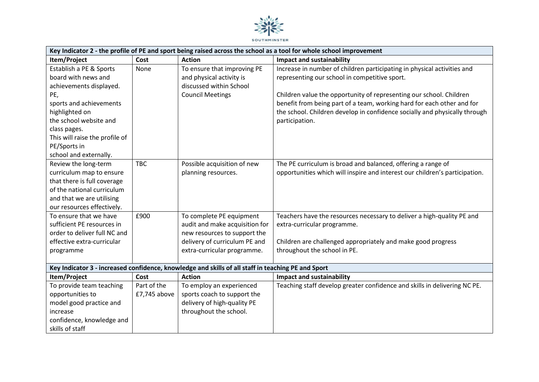

| Key Indicator 2 - the profile of PE and sport being raised across the school as a tool for whole school improvement                                                                                                                                 |                             |                                                                                                                                                            |                                                                                                                                                                                                                                                                                                                                                                           |  |
|-----------------------------------------------------------------------------------------------------------------------------------------------------------------------------------------------------------------------------------------------------|-----------------------------|------------------------------------------------------------------------------------------------------------------------------------------------------------|---------------------------------------------------------------------------------------------------------------------------------------------------------------------------------------------------------------------------------------------------------------------------------------------------------------------------------------------------------------------------|--|
| Item/Project                                                                                                                                                                                                                                        | Cost                        | <b>Action</b>                                                                                                                                              | <b>Impact and sustainability</b>                                                                                                                                                                                                                                                                                                                                          |  |
| Establish a PE & Sports<br>board with news and<br>achievements displayed.<br>PE,<br>sports and achievements<br>highlighted on<br>the school website and<br>class pages.<br>This will raise the profile of<br>PE/Sports in<br>school and externally. | None                        | To ensure that improving PE<br>and physical activity is<br>discussed within School<br><b>Council Meetings</b>                                              | Increase in number of children participating in physical activities and<br>representing our school in competitive sport.<br>Children value the opportunity of representing our school. Children<br>benefit from being part of a team, working hard for each other and for<br>the school. Children develop in confidence socially and physically through<br>participation. |  |
| Review the long-term<br>curriculum map to ensure<br>that there is full coverage<br>of the national curriculum<br>and that we are utilising<br>our resources effectively.                                                                            | <b>TBC</b>                  | Possible acquisition of new<br>planning resources.                                                                                                         | The PE curriculum is broad and balanced, offering a range of<br>opportunities which will inspire and interest our children's participation.                                                                                                                                                                                                                               |  |
| To ensure that we have<br>sufficient PE resources in<br>order to deliver full NC and<br>effective extra-curricular<br>programme                                                                                                                     | £900                        | To complete PE equipment<br>audit and make acquisition for<br>new resources to support the<br>delivery of curriculum PE and<br>extra-curricular programme. | Teachers have the resources necessary to deliver a high-quality PE and<br>extra-curricular programme.<br>Children are challenged appropriately and make good progress<br>throughout the school in PE.                                                                                                                                                                     |  |
| Key Indicator 3 - increased confidence, knowledge and skills of all staff in teaching PE and Sport                                                                                                                                                  |                             |                                                                                                                                                            |                                                                                                                                                                                                                                                                                                                                                                           |  |
| Item/Project                                                                                                                                                                                                                                        | Cost                        | <b>Action</b>                                                                                                                                              | <b>Impact and sustainability</b>                                                                                                                                                                                                                                                                                                                                          |  |
| To provide team teaching<br>opportunities to<br>model good practice and<br>increase<br>confidence, knowledge and<br>skills of staff                                                                                                                 | Part of the<br>£7,745 above | To employ an experienced<br>sports coach to support the<br>delivery of high-quality PE<br>throughout the school.                                           | Teaching staff develop greater confidence and skills in delivering NC PE.                                                                                                                                                                                                                                                                                                 |  |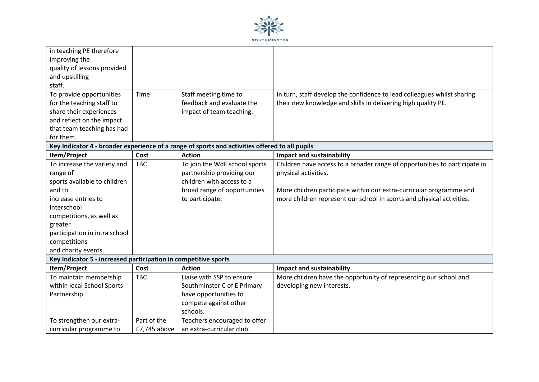

| in teaching PE therefore                                                                       |              |                               |                                                                            |  |  |
|------------------------------------------------------------------------------------------------|--------------|-------------------------------|----------------------------------------------------------------------------|--|--|
| improving the                                                                                  |              |                               |                                                                            |  |  |
| quality of lessons provided                                                                    |              |                               |                                                                            |  |  |
| and upskilling                                                                                 |              |                               |                                                                            |  |  |
| staff.                                                                                         |              |                               |                                                                            |  |  |
| To provide opportunities                                                                       | Time         | Staff meeting time to         | In turn, staff develop the confidence to lead colleagues whilst sharing    |  |  |
| for the teaching staff to                                                                      |              | feedback and evaluate the     | their new knowledge and skills in delivering high quality PE.              |  |  |
| share their experiences                                                                        |              | impact of team teaching.      |                                                                            |  |  |
| and reflect on the impact                                                                      |              |                               |                                                                            |  |  |
| that team teaching has had                                                                     |              |                               |                                                                            |  |  |
| for them.                                                                                      |              |                               |                                                                            |  |  |
| Key Indicator 4 - broader experience of a range of sports and activities offered to all pupils |              |                               |                                                                            |  |  |
| Item/Project                                                                                   | Cost         | <b>Action</b>                 | <b>Impact and sustainability</b>                                           |  |  |
| To increase the variety and                                                                    | <b>TBC</b>   | To join the WdF school sports | Children have access to a broader range of opportunities to participate in |  |  |
| range of                                                                                       |              | partnership providing our     | physical activities.                                                       |  |  |
| sports available to children                                                                   |              | children with access to a     |                                                                            |  |  |
| and to                                                                                         |              | broad range of opportunities  | More children participate within our extra-curricular programme and        |  |  |
| increase entries to                                                                            |              | to participate.               | more children represent our school in sports and physical activities.      |  |  |
| interschool                                                                                    |              |                               |                                                                            |  |  |
| competitions, as well as                                                                       |              |                               |                                                                            |  |  |
| greater                                                                                        |              |                               |                                                                            |  |  |
| participation in intra school                                                                  |              |                               |                                                                            |  |  |
| competitions                                                                                   |              |                               |                                                                            |  |  |
| and charity events.                                                                            |              |                               |                                                                            |  |  |
| Key Indicator 5 - increased participation in competitive sports                                |              |                               |                                                                            |  |  |
| Item/Project                                                                                   | Cost         | <b>Action</b>                 | <b>Impact and sustainability</b>                                           |  |  |
| To maintain membership                                                                         | <b>TBC</b>   | Liaise with SSP to ensure     | More children have the opportunity of representing our school and          |  |  |
| within local School Sports                                                                     |              | Southminster C of E Primary   | developing new interests.                                                  |  |  |
| Partnership                                                                                    |              | have opportunities to         |                                                                            |  |  |
|                                                                                                |              | compete against other         |                                                                            |  |  |
|                                                                                                |              | schools.                      |                                                                            |  |  |
| To strengthen our extra-                                                                       | Part of the  | Teachers encouraged to offer  |                                                                            |  |  |
| curricular programme to                                                                        | £7,745 above | an extra-curricular club.     |                                                                            |  |  |